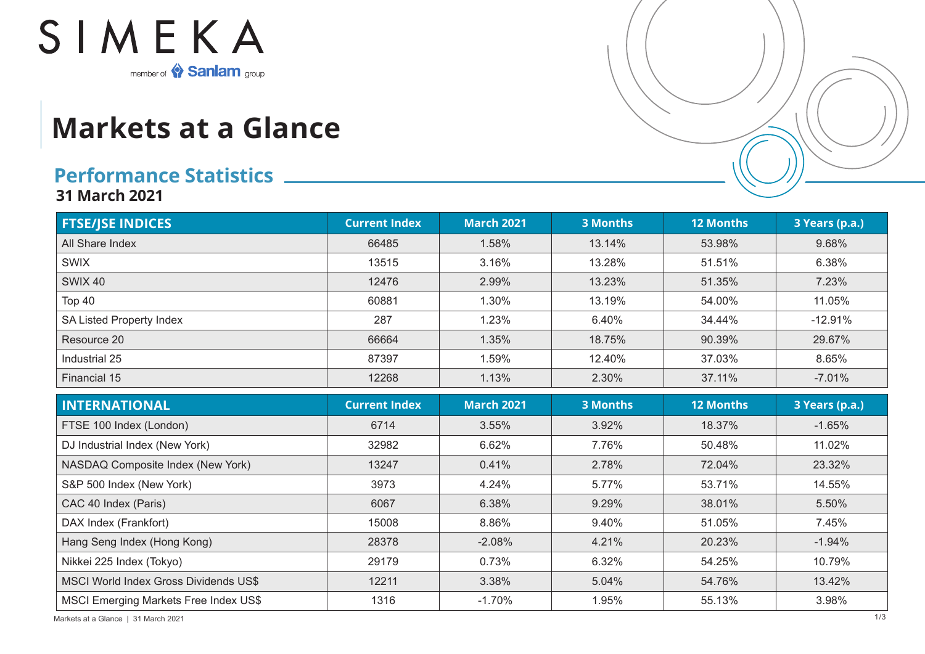

## **Markets at a Glance**

## **Performance Statistics**

**31 March 2021**

| <b>FTSE/JSE INDICES</b>                      | <b>Current Index</b> | <b>March 2021</b> | <b>3 Months</b> | <b>12 Months</b> | 3 Years (p.a.) |
|----------------------------------------------|----------------------|-------------------|-----------------|------------------|----------------|
| All Share Index                              | 66485                | 1.58%             | 13.14%          | 53.98%           | 9.68%          |
| <b>SWIX</b>                                  | 13515                | 3.16%             | 13.28%          | 51.51%           | 6.38%          |
| <b>SWIX 40</b>                               | 12476                | 2.99%             | 13.23%          | 51.35%           | 7.23%          |
| Top 40                                       | 60881                | 1.30%             | 13.19%          | 54.00%           | 11.05%         |
| SA Listed Property Index                     | 287                  | 1.23%             | 6.40%           | 34.44%           | $-12.91%$      |
| Resource 20                                  | 66664                | 1.35%             | 18.75%          | 90.39%           | 29.67%         |
| Industrial 25                                | 87397                | 1.59%             | 12.40%          | 37.03%           | 8.65%          |
| Financial 15                                 | 12268                | 1.13%             | 2.30%           | 37.11%           | $-7.01%$       |
| <b>INTERNATIONAL</b>                         | <b>Current Index</b> | <b>March 2021</b> | <b>3 Months</b> | <b>12 Months</b> | 3 Years (p.a.) |
| FTSE 100 Index (London)                      | 6714                 | 3.55%             | 3.92%           | 18.37%           | $-1.65%$       |
| DJ Industrial Index (New York)               | 32982                | 6.62%             | 7.76%           | 50.48%           | 11.02%         |
| NASDAQ Composite Index (New York)            | 13247                | 0.41%             | 2.78%           | 72.04%           | 23.32%         |
| S&P 500 Index (New York)                     | 3973                 | 4.24%             | 5.77%           | 53.71%           | 14.55%         |
| CAC 40 Index (Paris)                         | 6067                 | 6.38%             | 9.29%           | 38.01%           | 5.50%          |
| DAX Index (Frankfort)                        | 15008                | 8.86%             | 9.40%           | 51.05%           | 7.45%          |
| Hang Seng Index (Hong Kong)                  | 28378                | $-2.08%$          | 4.21%           | 20.23%           | $-1.94%$       |
| Nikkei 225 Index (Tokyo)                     | 29179                | 0.73%             | 6.32%           | 54.25%           | 10.79%         |
| <b>MSCI World Index Gross Dividends US\$</b> | 12211                | 3.38%             | 5.04%           | 54.76%           | 13.42%         |
| MSCI Emerging Markets Free Index US\$        | 1316                 | $-1.70%$          | 1.95%           | 55.13%           | 3.98%          |

Markets at a Glance | 31 March 2021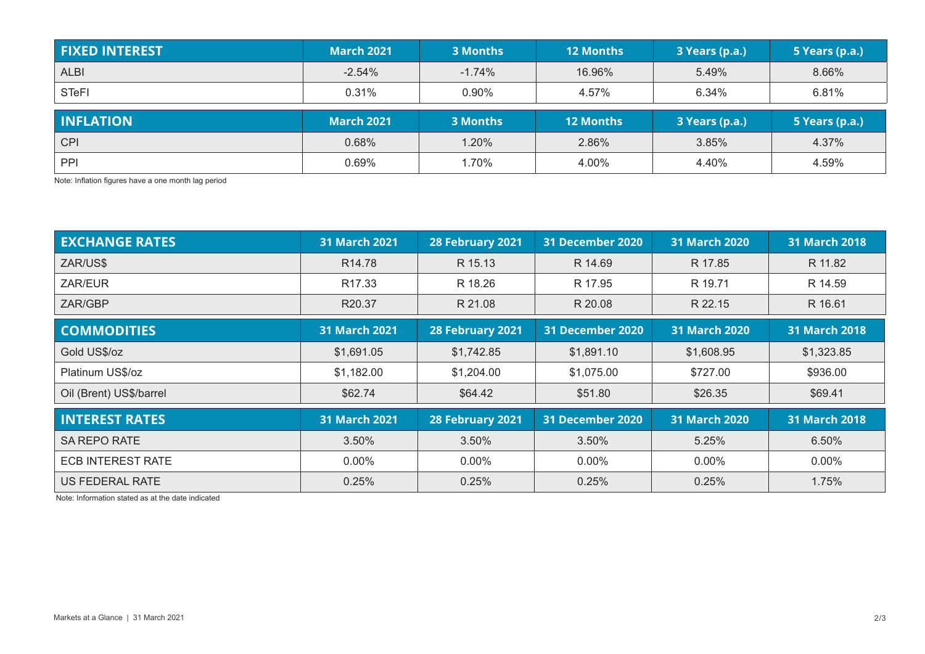| <b>FIXED INTEREST</b> | <b>March 2021</b> | 3 Months | <b>12 Months</b> | 3 Years (p.a.) | 5 Years (p.a.) |
|-----------------------|-------------------|----------|------------------|----------------|----------------|
| <b>ALBI</b>           | $-2.54%$          | $-1.74%$ | 16.96%           | 5.49%          | 8.66%          |
| <b>STeFI</b>          | 0.31%             | 0.90%    | 4.57%            | 6.34%          | 6.81%          |
|                       |                   |          |                  |                |                |
| <b>INFLATION</b>      | <b>March 2021</b> | 3 Months | <b>12 Months</b> | 3 Years (p.a.) | 5 Years (p.a.) |
| <b>CPI</b>            | 0.68%             | 1.20%    | 2.86%            | 3.85%          | 4.37%          |

Note: Inflation figures have a one month lag period

| <b>EXCHANGE RATES</b>    | <b>31 March 2021</b> | 28 February 2021 | 31 December 2020<br><b>31 March 2020</b> |                      | <b>31 March 2018</b> |
|--------------------------|----------------------|------------------|------------------------------------------|----------------------|----------------------|
| ZAR/US\$                 | R <sub>14.78</sub>   | R 15.13          | R 14.69                                  | R 17.85              | R 11.82              |
| ZAR/EUR                  | R <sub>17.33</sub>   | R 18.26          | R 17.95                                  | R 19.71              | R 14.59              |
| ZAR/GBP                  | R20.37               | R 21.08          | R 20.08                                  | R 22.15              | R 16.61              |
| <b>COMMODITIES</b>       | <b>31 March 2021</b> | 28 February 2021 | <b>31 December 2020</b>                  | <b>31 March 2020</b> | <b>31 March 2018</b> |
| Gold US\$/oz             | \$1,691.05           | \$1,742.85       | \$1,891.10                               | \$1,608.95           | \$1,323.85           |
| Platinum US\$/oz         | \$1,182.00           | \$1,204.00       | \$1,075.00                               | \$727.00             | \$936.00             |
| Oil (Brent) US\$/barrel  | \$62.74              | \$64.42          | \$51.80                                  | \$26.35              | \$69.41              |
| <b>INTEREST RATES</b>    | <b>31 March 2021</b> | 28 February 2021 | 31 December 2020                         | 31 March 2020        | <b>31 March 2018</b> |
| <b>SA REPO RATE</b>      | 3.50%                | 3.50%            | 3.50%                                    | 5.25%                |                      |
| <b>ECB INTEREST RATE</b> | $0.00\%$             | $0.00\%$         | $0.00\%$                                 | $0.00\%$             | $0.00\%$             |
| <b>US FEDERAL RATE</b>   | 0.25%                | 0.25%            | 0.25%                                    | 0.25%                |                      |

Note: Information stated as at the date indicated